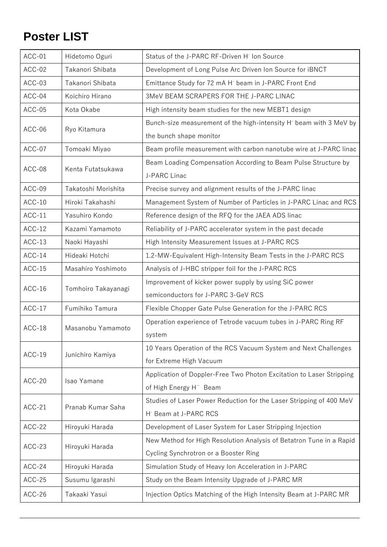## **Poster LIST**

| ACC-01   | Hidetomo Oguri      | Status of the J-PARC RF-Driven H <sup>-</sup> Ion Source                       |
|----------|---------------------|--------------------------------------------------------------------------------|
| ACC-02   | Takanori Shibata    | Development of Long Pulse Arc Driven Ion Source for iBNCT                      |
| ACC-03   | Takanori Shibata    | Emittance Study for 72 mA H <sup>-</sup> beam in J-PARC Front End              |
| ACC-04   | Koichiro Hirano     | 3MeV BEAM SCRAPERS FOR THE J-PARC LINAC                                        |
| ACC-05   | Kota Okabe          | High intensity beam studies for the new MEBT1 design                           |
| ACC-06   |                     | Bunch-size measurement of the high-intensity H <sup>-</sup> beam with 3 MeV by |
|          | Ryo Kitamura        | the bunch shape monitor                                                        |
| ACC-07   | Tomoaki Miyao       | Beam profile measurement with carbon nanotube wire at J-PARC linac             |
| ACC-08   | Kenta Futatsukawa   | Beam Loading Compensation According to Beam Pulse Structure by                 |
|          |                     | J-PARC Linac                                                                   |
| ACC-09   | Takatoshi Morishita | Precise survey and alignment results of the J-PARC linac                       |
| $ACC-10$ | Hiroki Takahashi    | Management System of Number of Particles in J-PARC Linac and RCS               |
| $ACC-11$ | Yasuhiro Kondo      | Reference design of the RFQ for the JAEA ADS linac                             |
| $ACC-12$ | Kazami Yamamoto     | Reliability of J-PARC accelerator system in the past decade                    |
| $ACC-13$ | Naoki Hayashi       | High Intensity Measurement Issues at J-PARC RCS                                |
| $ACC-14$ | Hideaki Hotchi      | 1.2-MW-Equivalent High-Intensity Beam Tests in the J-PARC RCS                  |
| $ACC-15$ | Masahiro Yoshimoto  | Analysis of J-HBC stripper foil for the J-PARC RCS                             |
| $ACC-16$ | Tomhoiro Takayanagi | Improvement of kicker power supply by using SiC power                          |
|          |                     | semiconductors for J-PARC 3-GeV RCS                                            |
| $ACC-17$ | Fumihiko Tamura     | Flexible Chopper Gate Pulse Generation for the J-PARC RCS                      |
| $ACC-18$ | Masanobu Yamamoto   | Operation experience of Tetrode vacuum tubes in J-PARC Ring RF                 |
|          |                     | system                                                                         |
|          | Junichiro Kamiya    | 10 Years Operation of the RCS Vacuum System and Next Challenges                |
| $ACC-19$ |                     | for Extreme High Vacuum                                                        |
| ACC-20   | Isao Yamane         | Application of Doppler-Free Two Photon Excitation to Laser Stripping           |
|          |                     | of High Energy H <sup>-</sup> Beam                                             |
| $ACC-21$ | Pranab Kumar Saha   | Studies of Laser Power Reduction for the Laser Stripping of 400 MeV            |
|          |                     | H <sup>-</sup> Beam at J-PARC RCS                                              |
| $ACC-22$ | Hiroyuki Harada     | Development of Laser System for Laser Stripping Injection                      |
| $ACC-23$ |                     | New Method for High Resolution Analysis of Betatron Tune in a Rapid            |
|          | Hiroyuki Harada     | Cycling Synchrotron or a Booster Ring                                          |
| $ACC-24$ | Hiroyuki Harada     | Simulation Study of Heavy Ion Acceleration in J-PARC                           |
| $ACC-25$ | Susumu Igarashi     | Study on the Beam Intensity Upgrade of J-PARC MR                               |
| $ACC-26$ | Takaaki Yasui       | Injection Optics Matching of the High Intensity Beam at J-PARC MR              |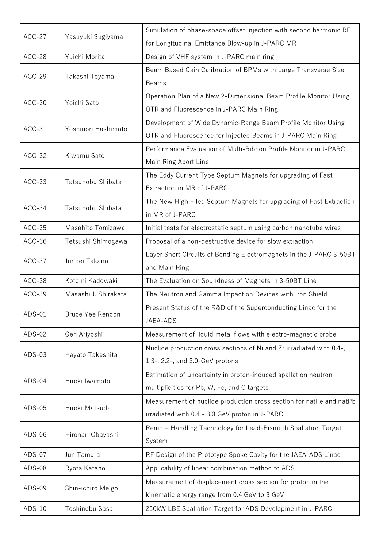| $ACC-27$ | Yasuyuki Sugiyama    | Simulation of phase-space offset injection with second harmonic RF   |
|----------|----------------------|----------------------------------------------------------------------|
|          |                      | for Longitudinal Emittance Blow-up in J-PARC MR                      |
| ACC-28   | Yuichi Morita        | Design of VHF system in J-PARC main ring                             |
| $ACC-29$ | Takeshi Toyama       | Beam Based Gain Calibration of BPMs with Large Transverse Size       |
|          |                      | <b>Beams</b>                                                         |
|          |                      | Operation Plan of a New 2-Dimensional Beam Profile Monitor Using     |
| $ACC-30$ | Yoichi Sato          | OTR and Fluorescence in J-PARC Main Ring                             |
|          | Yoshinori Hashimoto  | Development of Wide Dynamic-Range Beam Profile Monitor Using         |
| $ACC-31$ |                      | OTR and Fluorescence for Injected Beams in J-PARC Main Ring          |
|          |                      | Performance Evaluation of Multi-Ribbon Profile Monitor in J-PARC     |
| $ACC-32$ | Kiwamu Sato          | Main Ring Abort Line                                                 |
|          |                      | The Eddy Current Type Septum Magnets for upgrading of Fast           |
| $ACC-33$ | Tatsunobu Shibata    | Extraction in MR of J-PARC                                           |
|          |                      | The New High Filed Septum Magnets for upgrading of Fast Extraction   |
| $ACC-34$ | Tatsunobu Shibata    | in MR of J-PARC                                                      |
| $ACC-35$ | Masahito Tomizawa    | Initial tests for electrostatic septum using carbon nanotube wires   |
| $ACC-36$ | Tetsushi Shimogawa   | Proposal of a non-destructive device for slow extraction             |
|          |                      | Layer Short Circuits of Bending Electromagnets in the J-PARC 3-50BT  |
| $ACC-37$ | Junpei Takano        | and Main Ring                                                        |
| $ACC-38$ | Kotomi Kadowaki      | The Evaluation on Soundness of Magnets in 3-50BT Line                |
| ACC-39   | Masashi J. Shirakata | The Neutron and Gamma Impact on Devices with Iron Shield             |
|          | Bruce Yee Rendon     | Present Status of the R&D of the Superconducting Linac for the       |
| $ADS-01$ |                      | JAEA-ADS                                                             |
| $ADS-02$ | Gen Ariyoshi         | Measurement of liquid metal flows with electro-magnetic probe        |
|          | Hayato Takeshita     | Nuclide production cross sections of Ni and Zr irradiated with 0.4-, |
| $ADS-03$ |                      | 1.3-, 2.2-, and 3.0-GeV protons                                      |
|          |                      | Estimation of uncertainty in proton-induced spallation neutron       |
| ADS-04   | Hiroki Iwamoto       | multiplicities for Pb, W, Fe, and C targets                          |
|          |                      | Measurement of nuclide production cross section for natFe and natPb  |
| $ADS-05$ | Hiroki Matsuda       | irradiated with 0.4 - 3.0 GeV proton in J-PARC                       |
|          |                      | Remote Handling Technology for Lead-Bismuth Spallation Target        |
| $ADS-06$ | Hironari Obayashi    | System                                                               |
| ADS-07   | Jun Tamura           | RF Design of the Prototype Spoke Cavity for the JAEA-ADS Linac       |
| ADS-08   | Ryota Katano         | Applicability of linear combination method to ADS                    |
|          |                      | Measurement of displacement cross section for proton in the          |
| ADS-09   | Shin-ichiro Meigo    | kinematic energy range from 0.4 GeV to 3 GeV                         |
|          |                      |                                                                      |
| $ADS-10$ | Toshinobu Sasa       | 250kW LBE Spallation Target for ADS Development in J-PARC            |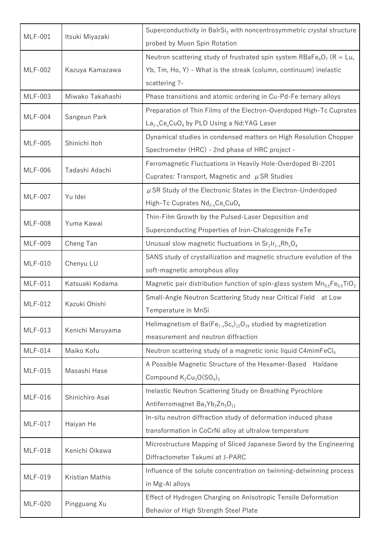| <b>MLF-001</b> | Itsuki Miyazaki  | Superconductivity in BalrSi <sub>2</sub> with noncentrosymmetric crystal structure            |
|----------------|------------------|-----------------------------------------------------------------------------------------------|
|                |                  | probed by Muon Spin Rotation                                                                  |
| <b>MLF-002</b> |                  | Neutron scattering study of frustrated spin system RBaFe <sub>4</sub> O <sub>7</sub> (R = Lu, |
|                | Kazuya Kamazawa  | Yb, Tm, Ho, Y) - What is the streak (column, continuum) inelastic                             |
|                |                  | scattering ?-                                                                                 |
| <b>MLF-003</b> | Miwako Takahashi | Phase transitions and atomic ordering in Cu-Pd-Fe ternary alloys                              |
| <b>MLF-004</b> |                  | Preparation of Thin Films of the Electron-Overdoped High-Tc Cuprates                          |
|                | Sangeun Park     | $La_{2-x}Ce_xCuO_4$ by PLD Using a Nd:YAG Laser                                               |
| <b>MLF-005</b> | Shinichi Itoh    | Dynamical studies in condensed matters on High Resolution Chopper                             |
|                |                  | Spectrometer (HRC) - 2nd phase of HRC project -                                               |
| <b>MLF-006</b> | Tadashi Adachi   | Ferromagnetic Fluctuations in Heavily Hole-Overdoped Bi-2201                                  |
|                |                  | Cuprates: Transport, Magnetic and $\mu$ SR Studies                                            |
|                |                  | $\mu$ SR Study of the Electronic States in the Electron-Underdoped                            |
| <b>MLF-007</b> | Yu Idei          | High-Tc Cuprates $Nd_{2-x}Ce_xCuO_4$                                                          |
|                |                  | Thin-Film Growth by the Pulsed-Laser Deposition and                                           |
| <b>MLF-008</b> | Yuma Kawai       | Superconducting Properties of Iron-Chalcogenide FeTe                                          |
| <b>MLF-009</b> | Cheng Tan        | Unusual slow magnetic fluctuations in $Sr_2Ir_{1-x}Rh_xO_4$                                   |
|                |                  | SANS study of crystallization and magnetic structure evolution of the                         |
| <b>MLF-010</b> | Chenyu LU        | soft-magnetic amorphous alloy                                                                 |
| <b>MLF-011</b> | Katsuaki Kodama  | Magnetic pair distribution function of spin-glass system $Mn_{0.5}Fe_{0.5}TiO_3$              |
|                | Kazuki Ohishi    | Small-Angle Neutron Scattering Study near Critical Field<br>at Low                            |
| MLF-012        |                  | Temperature in MnSi                                                                           |
|                | Kenichi Maruyama | Helimagnetism of Ba( $Fe_{1-x}Sc_x$ ) <sub>12</sub> O <sub>19</sub> studied by magnetization  |
| MLF-013        |                  | measurement and neutron diffraction                                                           |
| <b>MLF-014</b> | Maiko Kofu       | Neutron scattering study of a magnetic ionic liquid C4mimFeCl <sub>4</sub>                    |
|                | Masashi Hase     | A Possible Magnetic Structure of the Hexamer-Based<br>Haldane                                 |
| <b>MLF-015</b> |                  | Compound $K_2Cu_3O(SO_4)_3$                                                                   |
|                | Shinichiro Asai  | Inelastic Neutron Scattering Study on Breathing Pyrochlore                                    |
| <b>MLF-016</b> |                  | Antiferromagnet Ba <sub>3</sub> Yb <sub>2</sub> Zn <sub>5</sub> O <sub>11</sub>               |
|                |                  | In-situ neutron diffraction study of deformation induced phase                                |
| <b>MLF-017</b> | Haiyan He        | transformation in CoCrNi alloy at ultralow temperature                                        |
| <b>MLF-018</b> |                  | Microstructure Mapping of Sliced Japanese Sword by the Engineering                            |
|                | Kenichi Oikawa   | Diffractometer Takumi at J-PARC                                                               |
|                |                  | Influence of the solute concentration on twinning-detwinning process                          |
| MLF-019        | Kristian Mathis  | in Mg-Al alloys                                                                               |
|                |                  | Effect of Hydrogen Charging on Anisotropic Tensile Deformation                                |
| <b>MLF-020</b> | Pingguang Xu     | Behavior of High Strength Steel Plate                                                         |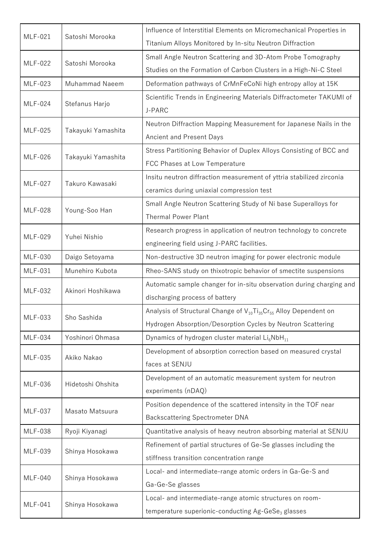| <b>MLF-021</b> | Satoshi Morooka    | Influence of Interstitial Elements on Micromechanical Properties in                                   |
|----------------|--------------------|-------------------------------------------------------------------------------------------------------|
|                |                    | Titanium Alloys Monitored by In-situ Neutron Diffraction                                              |
| <b>MLF-022</b> | Satoshi Morooka    | Small Angle Neutron Scattering and 3D-Atom Probe Tomography                                           |
|                |                    | Studies on the Formation of Carbon Clusters in a High-Ni-C Steel                                      |
| <b>MLF-023</b> | Muhammad Naeem     | Deformation pathways of CrMnFeCoNi high entropy alloy at 15K                                          |
| <b>MLF-024</b> |                    | Scientific Trends in Engineering Materials Diffractometer TAKUMI of                                   |
|                | Stefanus Harjo     | J-PARC                                                                                                |
|                |                    | Neutron Diffraction Mapping Measurement for Japanese Nails in the                                     |
| <b>MLF-025</b> | Takayuki Yamashita | Ancient and Present Days                                                                              |
|                |                    | Stress Partitioning Behavior of Duplex Alloys Consisting of BCC and                                   |
| <b>MLF-026</b> | Takayuki Yamashita | FCC Phases at Low Temperature                                                                         |
|                |                    | Insitu neutron diffraction measurement of yttria stabilized zirconia                                  |
| <b>MLF-027</b> | Takuro Kawasaki    | ceramics during uniaxial compression test                                                             |
|                |                    | Small Angle Neutron Scattering Study of Ni base Superalloys for                                       |
| <b>MLF-028</b> | Young-Soo Han      | <b>Thermal Power Plant</b>                                                                            |
|                |                    | Research progress in application of neutron technology to concrete                                    |
| MLF-029        | Yuhei Nishio       | engineering field using J-PARC facilities.                                                            |
| <b>MLF-030</b> | Daigo Setoyama     | Non-destructive 3D neutron imaging for power electronic module                                        |
| <b>MLF-031</b> | Munehiro Kubota    | Rheo-SANS study on thixotropic behavior of smectite suspensions                                       |
|                | Akinori Hoshikawa  | Automatic sample changer for in-situ observation during charging and                                  |
| <b>MLF-032</b> |                    | discharging process of battery                                                                        |
|                | Sho Sashida        | Analysis of Structural Change of V <sub>10</sub> Ti <sub>35</sub> Cr <sub>55</sub> Alloy Dependent on |
| <b>MLF-033</b> |                    | Hydrogen Absorption/Desorption Cycles by Neutron Scattering                                           |
| <b>MLF-034</b> | Yoshinori Ohmasa   | Dynamics of hydrogen cluster material Li6NbH <sub>11</sub>                                            |
|                | Akiko Nakao        | Development of absorption correction based on measured crystal                                        |
| <b>MLF-035</b> |                    | faces at SENJU                                                                                        |
|                | Hidetoshi Ohshita  | Development of an automatic measurement system for neutron                                            |
| <b>MLF-036</b> |                    | experiments (nDAQ)                                                                                    |
|                |                    | Position dependence of the scattered intensity in the TOF near                                        |
| <b>MLF-037</b> | Masato Matsuura    | <b>Backscattering Spectrometer DNA</b>                                                                |
| <b>MLF-038</b> | Ryoji Kiyanagi     | Quantitative analysis of heavy neutron absorbing material at SENJU                                    |
|                |                    | Refinement of partial structures of Ge-Se glasses including the                                       |
| MLF-039        | Shinya Hosokawa    | stiffness transition concentration range                                                              |
| <b>MLF-040</b> | Shinya Hosokawa    | Local- and intermediate-range atomic orders in Ga-Ge-S and                                            |
|                |                    | Ga-Ge-Se glasses                                                                                      |
|                |                    | Local- and intermediate-range atomic structures on room-                                              |
| <b>MLF-041</b> | Shinya Hosokawa    | temperature superionic-conducting Ag-GeSe <sub>3</sub> glasses                                        |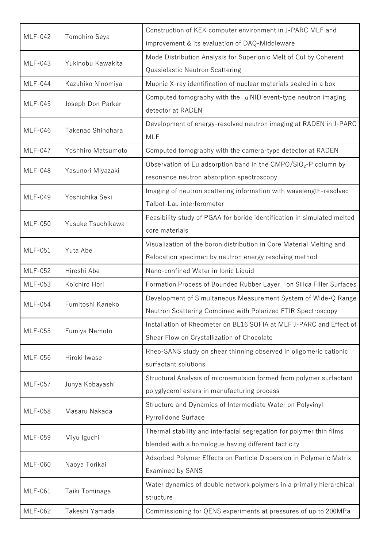| <b>MLF-042</b> | Tomohiro Seya      | Construction of KEK computer environment in J-PARC MLF and                  |
|----------------|--------------------|-----------------------------------------------------------------------------|
|                |                    | improvement & its evaluation of DAQ-Middleware                              |
| <b>MLF-043</b> | Yukinobu Kawakita  | Mode Distribution Analysis for Superionic Melt of Cul by Coherent           |
|                |                    | Quasielastic Neutron Scattering                                             |
| <b>MLF-044</b> | Kazuhiko Ninomiya  | Muonic X-ray identification of nuclear materials sealed in a box            |
|                |                    | Computed tomography with the $\mu$ NID event-type neutron imaging           |
| <b>MLF-045</b> | Joseph Don Parker  | detector at RADEN                                                           |
| <b>MLF-046</b> | Takenao Shinohara  | Development of energy-resolved neutron imaging at RADEN in J-PARC           |
|                |                    | <b>MLF</b>                                                                  |
| <b>MLF-047</b> | Yoshhiro Matsumoto | Computed tomography with the camera-type detector at RADEN                  |
|                |                    | Observation of Eu adsorption band in the CMPO/SiO <sub>2</sub> -P column by |
| <b>MLF-048</b> | Yasunori Miyazaki  | resonance neutron absorption spectroscopy                                   |
|                |                    | Imaging of neutron scattering information with wavelength-resolved          |
| <b>MLF-049</b> | Yoshichika Seki    | Talbot-Lau interferometer                                                   |
|                |                    | Feasibility study of PGAA for boride identification in simulated melted     |
| <b>MLF-050</b> | Yusuke Tsuchikawa  | core materials                                                              |
|                |                    | Visualization of the boron distribution in Core Material Melting and        |
| <b>MLF-051</b> | Yuta Abe           | Relocation specimen by neutron energy resolving method                      |
| <b>MLF-052</b> | Hiroshi Abe        | Nano-confined Water in Ionic Liquid                                         |
| <b>MLF-053</b> | Koichiro Hori      | Formation Process of Bounded Rubber Layer on Silica Filler Surfaces         |
|                | Fumitoshi Kaneko   | Development of Simultaneous Measurement System of Wide-Q Range              |
| <b>MLF-054</b> |                    | Neutron Scattering Combined with Polarized FTIR Spectroscopy                |
|                | Fumiya Nemoto      | Installation of Rheometer on BL16 SOFIA at MLF J-PARC and Effect of         |
| <b>MLF-055</b> |                    | Shear Flow on Crystallization of Chocolate                                  |
|                | Hiroki Iwase       | Rheo-SANS study on shear thinning observed in oligomeric cationic           |
| <b>MLF-056</b> |                    | surfactant solutions                                                        |
|                | Junya Kobayashi    | Structural Analysis of microemulsion formed from polymer surfactant         |
| <b>MLF-057</b> |                    | polyglycerol esters in manufacturing process                                |
|                | Masaru Nakada      | Structure and Dynamics of Intermediate Water on Polyvinyl                   |
| <b>MLF-058</b> |                    | Pyrrolidone Surface                                                         |
|                |                    | Thermal stability and interfacial segregation for polymer thin films        |
| <b>MLF-059</b> | Miyu Iguchi        | blended with a homologue having different tacticity                         |
| <b>MLF-060</b> |                    | Adsorbed Polymer Effects on Particle Dispersion in Polymeric Matrix         |
|                | Naoya Torikai      | Examined by SANS                                                            |
|                |                    | Water dynamics of double network polymers in a primally hierarchical        |
| <b>MLF-061</b> | Taiki Tominaga     | structure                                                                   |
| <b>MLF-062</b> | Takeshi Yamada     | Commissioning for QENS experiments at pressures of up to 200MPa             |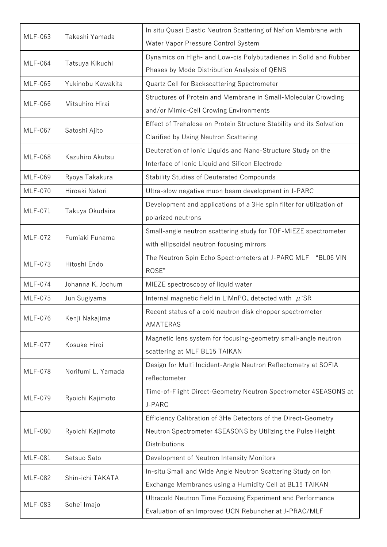| <b>MLF-063</b> | Takeshi Yamada     | In situ Quasi Elastic Neutron Scattering of Nafion Membrane with      |
|----------------|--------------------|-----------------------------------------------------------------------|
|                |                    | Water Vapor Pressure Control System                                   |
| <b>MLF-064</b> | Tatsuya Kikuchi    | Dynamics on High- and Low-cis Polybutadienes in Solid and Rubber      |
|                |                    | Phases by Mode Distribution Analysis of QENS                          |
| <b>MLF-065</b> | Yukinobu Kawakita  | Quartz Cell for Backscattering Spectrometer                           |
| <b>MLF-066</b> | Mitsuhiro Hirai    | Structures of Protein and Membrane in Small-Molecular Crowding        |
|                |                    | and/or Mimic-Cell Crowing Environments                                |
|                |                    | Effect of Trehalose on Protein Structure Stability and its Solvation  |
| <b>MLF-067</b> | Satoshi Ajito      | Clarified by Using Neutron Scattering                                 |
| <b>MLF-068</b> | Kazuhiro Akutsu    | Deuteration of Ionic Liquids and Nano-Structure Study on the          |
|                |                    | Interface of Ionic Liquid and Silicon Electrode                       |
| <b>MLF-069</b> | Ryoya Takakura     | <b>Stability Studies of Deuterated Compounds</b>                      |
| <b>MLF-070</b> | Hiroaki Natori     | Ultra-slow negative muon beam development in J-PARC                   |
|                |                    | Development and applications of a 3He spin filter for utilization of  |
| <b>MLF-071</b> | Takuya Okudaira    | polarized neutrons                                                    |
|                |                    | Small-angle neutron scattering study for TOF-MIEZE spectrometer       |
| <b>MLF-072</b> | Fumiaki Funama     | with ellipsoidal neutron focusing mirrors                             |
| <b>MLF-073</b> |                    | The Neutron Spin Echo Spectrometers at J-PARC MLF "BL06 VIN           |
|                | Hitoshi Endo       | ROSE"                                                                 |
| <b>MLF-074</b> | Johanna K. Jochum  | MIEZE spectroscopy of liquid water                                    |
| <b>MLF-075</b> | Jun Sugiyama       | Internal magnetic field in LiMnPO <sub>4</sub> detected with $\mu$ SR |
| <b>MLF-076</b> | Kenji Nakajima     | Recent status of a cold neutron disk chopper spectrometer             |
|                |                    | AMATERAS                                                              |
| <b>MLF-077</b> | Kosuke Hiroi       | Magnetic lens system for focusing-geometry small-angle neutron        |
|                |                    | scattering at MLF BL15 TAIKAN                                         |
|                | Norifumi L. Yamada | Design for Multi Incident-Angle Neutron Reflectometry at SOFIA        |
| <b>MLF-078</b> |                    | reflectometer                                                         |
| <b>MLF-079</b> | Ryoichi Kajimoto   | Time-of-Flight Direct-Geometry Neutron Spectrometer 4SEASONS at       |
|                |                    | J-PARC                                                                |
|                |                    | Efficiency Calibration of 3He Detectors of the Direct-Geometry        |
| <b>MLF-080</b> | Ryoichi Kajimoto   | Neutron Spectrometer 4SEASONS by Utilizing the Pulse Height           |
|                |                    | Distributions                                                         |
| <b>MLF-081</b> | Setsuo Sato        | Development of Neutron Intensity Monitors                             |
| <b>MLF-082</b> | Shin-ichi TAKATA   | In-situ Small and Wide Angle Neutron Scattering Study on Ion          |
|                |                    | Exchange Membranes using a Humidity Cell at BL15 TAIKAN               |
| <b>MLF-083</b> | Sohei Imajo        | Ultracold Neutron Time Focusing Experiment and Performance            |
|                |                    | Evaluation of an Improved UCN Rebuncher at J-PRAC/MLF                 |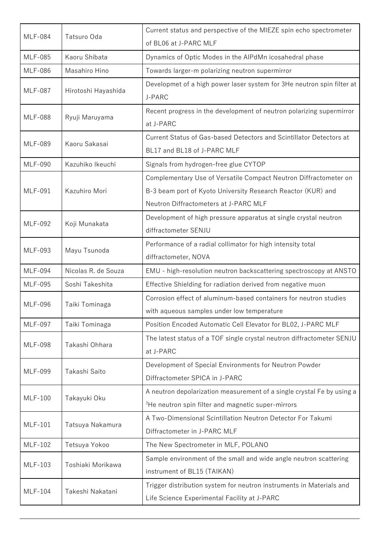| <b>MLF-084</b> | Tatsuro Oda         | Current status and perspective of the MIEZE spin echo spectrometer<br>of BL06 at J-PARC MLF        |
|----------------|---------------------|----------------------------------------------------------------------------------------------------|
| <b>MLF-085</b> | Kaoru Shibata       | Dynamics of Optic Modes in the AlPdMn icosahedral phase                                            |
| <b>MLF-086</b> | Masahiro Hino       | Towards larger-m polarizing neutron supermirror                                                    |
|                |                     | Developmet of a high power laser system for 3He neutron spin filter at                             |
| <b>MLF-087</b> | Hirotoshi Hayashida | J-PARC                                                                                             |
| <b>MLF-088</b> | Ryuji Maruyama      | Recent progress in the development of neutron polarizing supermirror<br>at J-PARC                  |
| <b>MLF-089</b> | Kaoru Sakasai       | Current Status of Gas-based Detectors and Scintillator Detectors at<br>BL17 and BL18 of J-PARC MLF |
| <b>MLF-090</b> | Kazuhiko Ikeuchi    | Signals from hydrogen-free glue CYTOP                                                              |
|                |                     | Complementary Use of Versatile Compact Neutron Diffractometer on                                   |
| <b>MLF-091</b> | Kazuhiro Mori       | B-3 beam port of Kyoto University Research Reactor (KUR) and                                       |
|                |                     | Neutron Diffractometers at J-PARC MLF                                                              |
| <b>MLF-092</b> | Koji Munakata       | Development of high pressure apparatus at single crystal neutron                                   |
|                |                     | diffractometer SENJU                                                                               |
| <b>MLF-093</b> | Mayu Tsunoda        | Performance of a radial collimator for high intensity total                                        |
|                |                     | diffractometer, NOVA                                                                               |
| <b>MLF-094</b> | Nicolas R. de Souza | EMU - high-resolution neutron backscattering spectroscopy at ANSTO                                 |
| <b>MLF-095</b> | Soshi Takeshita     | Effective Shielding for radiation derived from negative muon                                       |
| <b>MLF-096</b> | Taiki Tominaga      | Corrosion effect of aluminum-based containers for neutron studies                                  |
|                |                     | with aqueous samples under low temperature                                                         |
| <b>MLF-097</b> | Taiki Tominaga      | Position Encoded Automatic Cell Elevator for BL02, J-PARC MLF                                      |
| <b>MLF-098</b> | Takashi Ohhara      | The latest status of a TOF single crystal neutron diffractometer SENJU<br>at J-PARC                |
|                | Takashi Saito       | Development of Special Environments for Neutron Powder                                             |
| <b>MLF-099</b> |                     | Diffractometer SPICA in J-PARC                                                                     |
|                |                     | A neutron depolarization measurement of a single crystal Fe by using a                             |
| <b>MLF-100</b> | Takayuki Oku        | <sup>3</sup> He neutron spin filter and magnetic super-mirrors                                     |
|                |                     | A Two-Dimensional Scintillation Neutron Detector For Takumi                                        |
| <b>MLF-101</b> | Tatsuya Nakamura    | Diffractometer in J-PARC MLF                                                                       |
| <b>MLF-102</b> | Tetsuya Yokoo       | The New Spectrometer in MLF, POLANO                                                                |
|                | Toshiaki Morikawa   | Sample environment of the small and wide angle neutron scattering                                  |
| <b>MLF-103</b> |                     | instrument of BL15 (TAIKAN)                                                                        |
| <b>MLF-104</b> | Takeshi Nakatani    | Trigger distribution system for neutron instruments in Materials and                               |
|                |                     | Life Science Experimental Facility at J-PARC                                                       |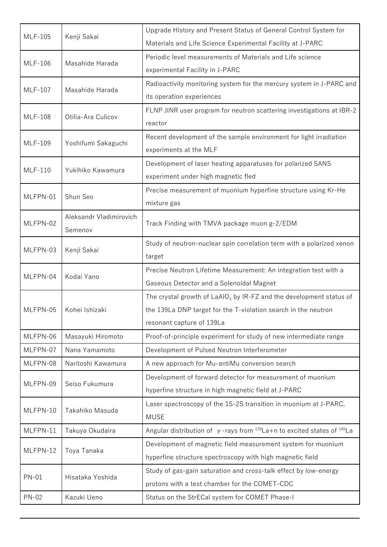| <b>MLF-105</b> | Kenji Sakai             | Upgrade History and Present Status of General Control System for                           |
|----------------|-------------------------|--------------------------------------------------------------------------------------------|
|                |                         | Materials and Life Science Experimental Facility at J-PARC                                 |
| <b>MLF-106</b> | Masahide Harada         | Periodic level measurements of Materials and Life science                                  |
|                |                         | experimental Facility in J-PARC                                                            |
| <b>MLF-107</b> | Masahide Harada         | Radioactivity monitoring system for the mercury system in J-PARC and                       |
|                |                         | its operation experiences                                                                  |
| <b>MLF-108</b> | Otilia-Ara Culicov      | FLNP JINR user program for neutron scattering investigations at IBR-2                      |
|                |                         | reactor                                                                                    |
| <b>MLF-109</b> | Yoshifumi Sakaguchi     | Recent development of the sample environment for light irradiation                         |
|                |                         | experiments at the MLF                                                                     |
| <b>MLF-110</b> | Yukihiko Kawamura       | Development of laser heating apparatuses for polarized SANS                                |
|                |                         | experiment under high magnetic fled                                                        |
| MLFPN-01       | Shun Seo                | Precise measurement of muonium hyperfine structure using Kr-He                             |
|                |                         | mixture gas                                                                                |
| MLFPN-02       | Aleksandr Vladimirovich | Track Finding with TMVA package muon g-2/EDM                                               |
|                | Semenov                 |                                                                                            |
| MLFPN-03       | Kenji Sakai             | Study of neutron-nuclear spin correlation term with a polarized xenon                      |
|                |                         | target                                                                                     |
| MLFPN-04       | Kodai Yano              | Precise Neutron Lifetime Measurement: An integration test with a                           |
|                |                         | Gaseous Detector and a Solenoidal Magnet                                                   |
|                | Kohei Ishizaki          | The crystal growth of $LaAlO3$ by IR-FZ and the development status of                      |
| MLFPN-05       |                         | the 139La DNP target for the T-violation search in the neutron                             |
|                |                         | resonant capture of 139La                                                                  |
| MLFPN-06       | Masayuki Hiromoto       | Proof-of-principle experiment for study of new intermediate range                          |
| MLFPN-07       | Nana Yamamoto           | Development of Pulsed Neutron Interferometer                                               |
| MLFPN-08       | Naritoshi Kawamura      | A new approach for Mu-antiMu conversion search                                             |
| MLFPN-09       | Seiso Fukumura          | Development of forward detector for measurement of muonium                                 |
|                |                         | hyperfine structure in high magnetic field at J-PARC                                       |
| MLFPN-10       | Takahiko Masuda         | Laser spectroscopy of the 1S-2S transition in muonium at J-PARC,                           |
|                |                         | <b>MUSE</b>                                                                                |
| MLFPN-11       | Takuya Okudaira         | Angular distribution of $\gamma$ -rays from $^{139}$ La+n to excited states of $^{140}$ La |
| MLFPN-12       |                         | Development of magnetic field measurement system for muonium                               |
|                | Toya Tanaka             | hyperfine structure spectroscopy with high magnetic field                                  |
| <b>PN-01</b>   | Hisataka Yoshida        | Study of gas-gain saturation and cross-talk effect by low-energy                           |
|                |                         | protons with a test chamber for the COMET-CDC                                              |
| <b>PN-02</b>   | Kazuki Ueno             | Status on the StrECal system for COMET Phase-I                                             |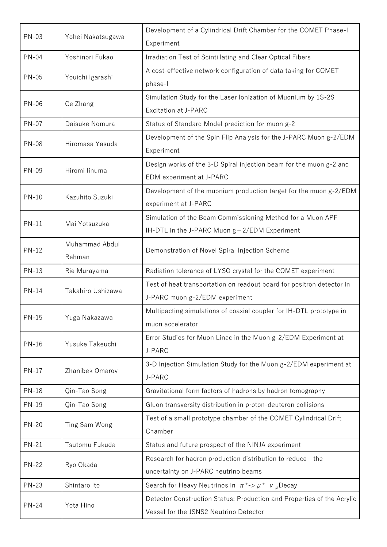| <b>PN-03</b> | Yohei Nakatsugawa        | Development of a Cylindrical Drift Chamber for the COMET Phase-I<br>Experiment                                   |
|--------------|--------------------------|------------------------------------------------------------------------------------------------------------------|
| <b>PN-04</b> | Yoshinori Fukao          | Irradiation Test of Scintillating and Clear Optical Fibers                                                       |
| <b>PN-05</b> | Youichi Igarashi         | A cost-effective network configuration of data taking for COMET<br>phase-l                                       |
| <b>PN-06</b> | Ce Zhang                 | Simulation Study for the Laser Ionization of Muonium by 1S-2S<br>Excitation at J-PARC                            |
| <b>PN-07</b> | Daisuke Nomura           | Status of Standard Model prediction for muon g-2                                                                 |
| <b>PN-08</b> | Hiromasa Yasuda          | Development of the Spin Flip Analysis for the J-PARC Muon g-2/EDM<br>Experiment                                  |
| <b>PN-09</b> | Hiromi linuma            | Design works of the 3-D Spiral injection beam for the muon g-2 and<br>EDM experiment at J-PARC                   |
| <b>PN-10</b> | Kazuhito Suzuki          | Development of the muonium production target for the muon g-2/EDM<br>experiment at J-PARC                        |
| <b>PN-11</b> | Mai Yotsuzuka            | Simulation of the Beam Commissioning Method for a Muon APF<br>IH-DTL in the J-PARC Muon $g - 2/EDM$ Experiment   |
| <b>PN-12</b> | Muhammad Abdul<br>Rehman | Demonstration of Novel Spiral Injection Scheme                                                                   |
| $PN-13$      | Rie Murayama             | Radiation tolerance of LYSO crystal for the COMET experiment                                                     |
| <b>PN-14</b> | Takahiro Ushizawa        | Test of heat transportation on readout board for positron detector in<br>J-PARC muon g-2/EDM experiment          |
| <b>PN-15</b> | Yuga Nakazawa            | Multipacting simulations of coaxial coupler for IH-DTL prototype in<br>muon accelerator                          |
| <b>PN-16</b> | Yusuke Takeuchi          | Error Studies for Muon Linac in the Muon g-2/EDM Experiment at<br>J-PARC                                         |
| <b>PN-17</b> | Zhanibek Omarov          | 3-D Injection Simulation Study for the Muon g-2/EDM experiment at<br>J-PARC                                      |
| <b>PN-18</b> | Qin-Tao Song             | Gravitational form factors of hadrons by hadron tomography                                                       |
| <b>PN-19</b> | Qin-Tao Song             | Gluon transversity distribution in proton-deuteron collisions                                                    |
| <b>PN-20</b> | Ting Sam Wong            | Test of a small prototype chamber of the COMET Cylindrical Drift<br>Chamber                                      |
| <b>PN-21</b> | Tsutomu Fukuda           | Status and future prospect of the NINJA experiment                                                               |
| <b>PN-22</b> | Ryo Okada                | Research for hadron production distribution to reduce<br>the<br>uncertainty on J-PARC neutrino beams             |
| <b>PN-23</b> | Shintaro Ito             | Search for Heavy Neutrinos in $\pi^+$ -> $\mu^+$ $\nu$ <sub>µ</sub> Decay                                        |
| <b>PN-24</b> | Yota Hino                | Detector Construction Status: Production and Properties of the Acrylic<br>Vessel for the JSNS2 Neutrino Detector |